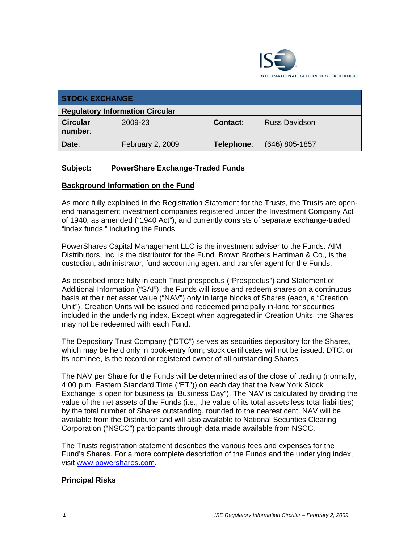

| <b>STOCK EXCHANGE</b>                  |                  |                 |                      |
|----------------------------------------|------------------|-----------------|----------------------|
| <b>Regulatory Information Circular</b> |                  |                 |                      |
| <b>Circular</b><br>number:             | 2009-23          | <b>Contact:</b> | <b>Russ Davidson</b> |
| Date:                                  | February 2, 2009 | Telephone:      | $(646)$ 805-1857     |

#### **Subject: PowerShare Exchange-Traded Funds**

#### **Background Information on the Fund**

As more fully explained in the Registration Statement for the Trusts, the Trusts are openend management investment companies registered under the Investment Company Act of 1940, as amended ("1940 Act"), and currently consists of separate exchange-traded "index funds," including the Funds.

PowerShares Capital Management LLC is the investment adviser to the Funds. AIM Distributors, Inc. is the distributor for the Fund. Brown Brothers Harriman & Co., is the custodian, administrator, fund accounting agent and transfer agent for the Funds.

As described more fully in each Trust prospectus ("Prospectus") and Statement of Additional Information ("SAI"), the Funds will issue and redeem shares on a continuous basis at their net asset value ("NAV") only in large blocks of Shares (each, a "Creation Unit"). Creation Units will be issued and redeemed principally in-kind for securities included in the underlying index. Except when aggregated in Creation Units, the Shares may not be redeemed with each Fund.

The Depository Trust Company ("DTC") serves as securities depository for the Shares, which may be held only in book-entry form; stock certificates will not be issued. DTC, or its nominee, is the record or registered owner of all outstanding Shares.

The NAV per Share for the Funds will be determined as of the close of trading (normally, 4:00 p.m. Eastern Standard Time ("ET")) on each day that the New York Stock Exchange is open for business (a "Business Day"). The NAV is calculated by dividing the value of the net assets of the Funds (i.e., the value of its total assets less total liabilities) by the total number of Shares outstanding, rounded to the nearest cent. NAV will be available from the Distributor and will also available to National Securities Clearing Corporation ("NSCC") participants through data made available from NSCC.

The Trusts registration statement describes the various fees and expenses for the Fund's Shares. For a more complete description of the Funds and the underlying index, visit www.powershares.com.

#### **Principal Risks**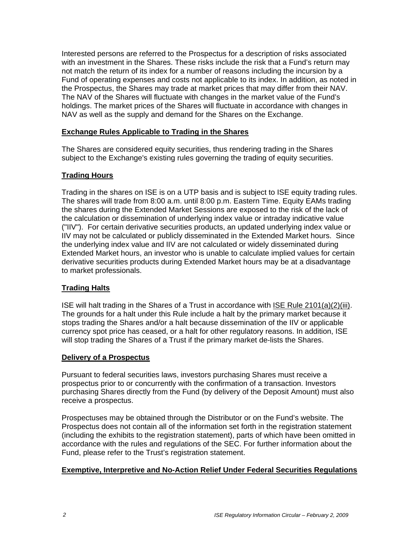Interested persons are referred to the Prospectus for a description of risks associated with an investment in the Shares. These risks include the risk that a Fund's return may not match the return of its index for a number of reasons including the incursion by a Fund of operating expenses and costs not applicable to its index. In addition, as noted in the Prospectus, the Shares may trade at market prices that may differ from their NAV. The NAV of the Shares will fluctuate with changes in the market value of the Fund's holdings. The market prices of the Shares will fluctuate in accordance with changes in NAV as well as the supply and demand for the Shares on the Exchange.

### **Exchange Rules Applicable to Trading in the Shares**

The Shares are considered equity securities, thus rendering trading in the Shares subject to the Exchange's existing rules governing the trading of equity securities.

## **Trading Hours**

Trading in the shares on ISE is on a UTP basis and is subject to ISE equity trading rules. The shares will trade from 8:00 a.m. until 8:00 p.m. Eastern Time. Equity EAMs trading the shares during the Extended Market Sessions are exposed to the risk of the lack of the calculation or dissemination of underlying index value or intraday indicative value ("IIV"). For certain derivative securities products, an updated underlying index value or IIV may not be calculated or publicly disseminated in the Extended Market hours. Since the underlying index value and IIV are not calculated or widely disseminated during Extended Market hours, an investor who is unable to calculate implied values for certain derivative securities products during Extended Market hours may be at a disadvantage to market professionals.

## **Trading Halts**

ISE will halt trading in the Shares of a Trust in accordance with ISE Rule 2101(a)(2)(iii). The grounds for a halt under this Rule include a halt by the primary market because it stops trading the Shares and/or a halt because dissemination of the IIV or applicable currency spot price has ceased, or a halt for other regulatory reasons. In addition, ISE will stop trading the Shares of a Trust if the primary market de-lists the Shares.

#### **Delivery of a Prospectus**

Pursuant to federal securities laws, investors purchasing Shares must receive a prospectus prior to or concurrently with the confirmation of a transaction. Investors purchasing Shares directly from the Fund (by delivery of the Deposit Amount) must also receive a prospectus.

Prospectuses may be obtained through the Distributor or on the Fund's website. The Prospectus does not contain all of the information set forth in the registration statement (including the exhibits to the registration statement), parts of which have been omitted in accordance with the rules and regulations of the SEC. For further information about the Fund, please refer to the Trust's registration statement.

#### **Exemptive, Interpretive and No-Action Relief Under Federal Securities Regulations**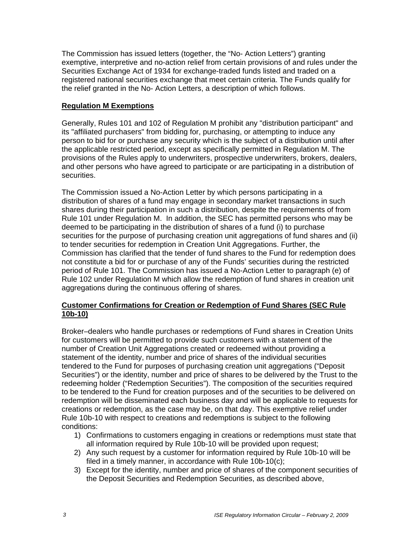The Commission has issued letters (together, the "No- Action Letters") granting exemptive, interpretive and no-action relief from certain provisions of and rules under the Securities Exchange Act of 1934 for exchange-traded funds listed and traded on a registered national securities exchange that meet certain criteria. The Funds qualify for the relief granted in the No- Action Letters, a description of which follows.

### **Regulation M Exemptions**

Generally, Rules 101 and 102 of Regulation M prohibit any "distribution participant" and its "affiliated purchasers" from bidding for, purchasing, or attempting to induce any person to bid for or purchase any security which is the subject of a distribution until after the applicable restricted period, except as specifically permitted in Regulation M. The provisions of the Rules apply to underwriters, prospective underwriters, brokers, dealers, and other persons who have agreed to participate or are participating in a distribution of securities.

The Commission issued a No-Action Letter by which persons participating in a distribution of shares of a fund may engage in secondary market transactions in such shares during their participation in such a distribution, despite the requirements of from Rule 101 under Regulation M. In addition, the SEC has permitted persons who may be deemed to be participating in the distribution of shares of a fund (i) to purchase securities for the purpose of purchasing creation unit aggregations of fund shares and (ii) to tender securities for redemption in Creation Unit Aggregations. Further, the Commission has clarified that the tender of fund shares to the Fund for redemption does not constitute a bid for or purchase of any of the Funds' securities during the restricted period of Rule 101. The Commission has issued a No-Action Letter to paragraph (e) of Rule 102 under Regulation M which allow the redemption of fund shares in creation unit aggregations during the continuous offering of shares.

## **Customer Confirmations for Creation or Redemption of Fund Shares (SEC Rule 10b-10)**

Broker–dealers who handle purchases or redemptions of Fund shares in Creation Units for customers will be permitted to provide such customers with a statement of the number of Creation Unit Aggregations created or redeemed without providing a statement of the identity, number and price of shares of the individual securities tendered to the Fund for purposes of purchasing creation unit aggregations ("Deposit Securities") or the identity, number and price of shares to be delivered by the Trust to the redeeming holder ("Redemption Securities"). The composition of the securities required to be tendered to the Fund for creation purposes and of the securities to be delivered on redemption will be disseminated each business day and will be applicable to requests for creations or redemption, as the case may be, on that day. This exemptive relief under Rule 10b-10 with respect to creations and redemptions is subject to the following conditions:

- 1) Confirmations to customers engaging in creations or redemptions must state that all information required by Rule 10b-10 will be provided upon request;
- 2) Any such request by a customer for information required by Rule 10b-10 will be filed in a timely manner, in accordance with Rule 10b-10(c);
- 3) Except for the identity, number and price of shares of the component securities of the Deposit Securities and Redemption Securities, as described above,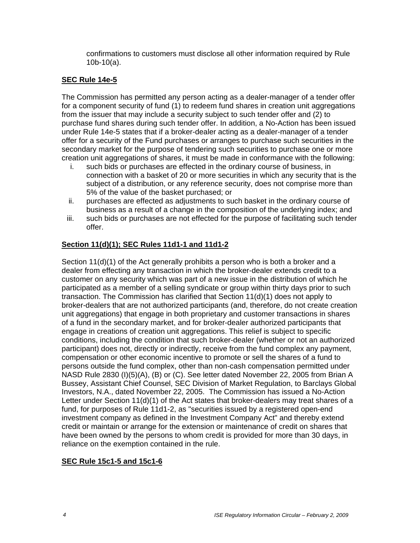confirmations to customers must disclose all other information required by Rule 10b-10(a).

#### **SEC Rule 14e-5**

The Commission has permitted any person acting as a dealer-manager of a tender offer for a component security of fund (1) to redeem fund shares in creation unit aggregations from the issuer that may include a security subject to such tender offer and (2) to purchase fund shares during such tender offer. In addition, a No-Action has been issued under Rule 14e-5 states that if a broker-dealer acting as a dealer-manager of a tender offer for a security of the Fund purchases or arranges to purchase such securities in the secondary market for the purpose of tendering such securities to purchase one or more creation unit aggregations of shares, it must be made in conformance with the following:

- i. such bids or purchases are effected in the ordinary course of business, in connection with a basket of 20 or more securities in which any security that is the subject of a distribution, or any reference security, does not comprise more than 5% of the value of the basket purchased; or
- ii. purchases are effected as adjustments to such basket in the ordinary course of business as a result of a change in the composition of the underlying index; and
- iii. such bids or purchases are not effected for the purpose of facilitating such tender offer.

#### **Section 11(d)(1); SEC Rules 11d1-1 and 11d1-2**

Section 11(d)(1) of the Act generally prohibits a person who is both a broker and a dealer from effecting any transaction in which the broker-dealer extends credit to a customer on any security which was part of a new issue in the distribution of which he participated as a member of a selling syndicate or group within thirty days prior to such transaction. The Commission has clarified that Section 11(d)(1) does not apply to broker-dealers that are not authorized participants (and, therefore, do not create creation unit aggregations) that engage in both proprietary and customer transactions in shares of a fund in the secondary market, and for broker-dealer authorized participants that engage in creations of creation unit aggregations. This relief is subject to specific conditions, including the condition that such broker-dealer (whether or not an authorized participant) does not, directly or indirectly, receive from the fund complex any payment, compensation or other economic incentive to promote or sell the shares of a fund to persons outside the fund complex, other than non-cash compensation permitted under NASD Rule 2830 (I)(5)(A), (B) or (C). See letter dated November 22, 2005 from Brian A Bussey, Assistant Chief Counsel, SEC Division of Market Regulation, to Barclays Global Investors, N.A., dated November 22, 2005. The Commission has issued a No-Action Letter under Section 11(d)(1) of the Act states that broker-dealers may treat shares of a fund, for purposes of Rule 11d1-2, as "securities issued by a registered open-end investment company as defined in the Investment Company Act" and thereby extend credit or maintain or arrange for the extension or maintenance of credit on shares that have been owned by the persons to whom credit is provided for more than 30 days, in reliance on the exemption contained in the rule.

#### **SEC Rule 15c1-5 and 15c1-6**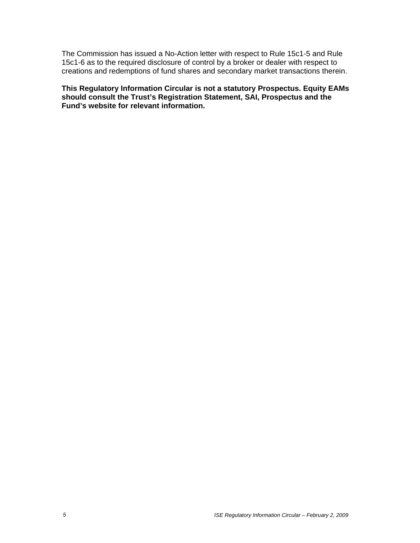The Commission has issued a No-Action letter with respect to Rule 15c1-5 and Rule 15c1-6 as to the required disclosure of control by a broker or dealer with respect to creations and redemptions of fund shares and secondary market transactions therein.

**This Regulatory Information Circular is not a statutory Prospectus. Equity EAMs should consult the Trust's Registration Statement, SAI, Prospectus and the Fund's website for relevant information.**